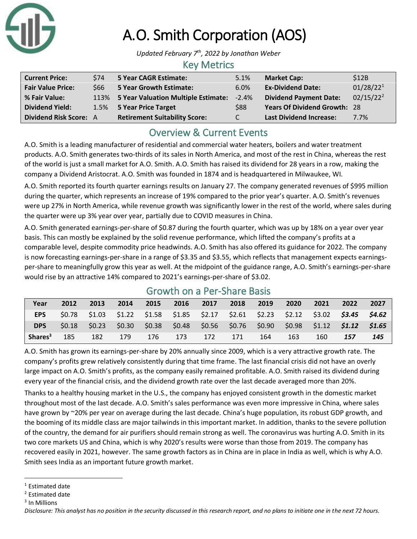

# A.O. Smith Corporation (AOS)

*Updated February 7 th, 2022 by Jonathan Weber*

#### Key Metrics

| <b>Current Price:</b>    | <b>\$74</b> | <b>5 Year CAGR Estimate:</b>             | 5.1%       | <b>Market Cap:</b>                  | \$12B                 |
|--------------------------|-------------|------------------------------------------|------------|-------------------------------------|-----------------------|
| <b>Fair Value Price:</b> | \$66        | <b>5 Year Growth Estimate:</b>           | 6.0%       | <b>Ex-Dividend Date:</b>            | 01/28/22 <sup>1</sup> |
| % Fair Value:            |             | 113% 5 Year Valuation Multiple Estimate: | $-2.4%$    | <b>Dividend Payment Date:</b>       | $02/15/22^2$          |
| <b>Dividend Yield:</b>   |             | 1.5% 5 Year Price Target                 | <b>S88</b> | <b>Years Of Dividend Growth: 28</b> |                       |
| Dividend Risk Score: A   |             | <b>Retirement Suitability Score:</b>     | C          | <b>Last Dividend Increase:</b>      | 7.7%                  |

## Overview & Current Events

A.O. Smith is a leading manufacturer of residential and commercial water heaters, boilers and water treatment products. A.O. Smith generates two-thirds of its sales in North America, and most of the rest in China, whereas the rest of the world is just a small market for A.O. Smith. A.O. Smith has raised its dividend for 28 years in a row, making the company a Dividend Aristocrat. A.O. Smith was founded in 1874 and is headquartered in Milwaukee, WI.

A.O. Smith reported its fourth quarter earnings results on January 27. The company generated revenues of \$995 million during the quarter, which represents an increase of 19% compared to the prior year's quarter. A.O. Smith's revenues were up 27% in North America, while revenue growth was significantly lower in the rest of the world, where sales during the quarter were up 3% year over year, partially due to COVID measures in China.

A.O. Smith generated earnings-per-share of \$0.87 during the fourth quarter, which was up by 18% on a year over year basis. This can mostly be explained by the solid revenue performance, which lifted the company's profits at a comparable level, despite commodity price headwinds. A.O. Smith has also offered its guidance for 2022. The company is now forecasting earnings-per-share in a range of \$3.35 and \$3.55, which reflects that management expects earningsper-share to meaningfully grow this year as well. At the midpoint of the guidance range, A.O. Smith's earnings-per-share would rise by an attractive 14% compared to 2021's earnings-per-share of \$3.02.

| <u>UIUWUI UII A FEI-JIIAIE DASIS</u> |       |      |      |      |      |                                                                                                 |      |      |      |      |      |      |
|--------------------------------------|-------|------|------|------|------|-------------------------------------------------------------------------------------------------|------|------|------|------|------|------|
| Year                                 | 2012  | 2013 | 2014 | 2015 | 2016 | 2017                                                                                            | 2018 | 2019 | 2020 | 2021 | 2022 | 2027 |
| <b>EPS</b>                           |       |      |      |      |      | $$0.78$ $$1.03$ $$1.22$ $$1.58$ $$1.85$ $$2.17$ $$2.61$ $$2.23$ $$2.12$ $$3.02$ $$3.45$ $$4.62$ |      |      |      |      |      |      |
| <b>DPS</b>                           | 50.18 |      |      |      |      | $$0.23$ $$0.30$ $$0.38$ $$0.48$ $$0.56$ $$0.76$ $$0.90$ $$0.98$ $$1.12$ $$1.12$ $$1.65$         |      |      |      |      |      |      |
| Shares <sup>3</sup>                  | 185   | 182  | 179  | 176  | 173  | 172                                                                                             | 171  | 164  | 163  | 160  | 157  | 145  |

## Growth on a Per-Share Basis

A.O. Smith has grown its earnings-per-share by 20% annually since 2009, which is a very attractive growth rate. The company's profits grew relatively consistently during that time frame. The last financial crisis did not have an overly large impact on A.O. Smith's profits, as the company easily remained profitable. A.O. Smith raised its dividend during every year of the financial crisis, and the dividend growth rate over the last decade averaged more than 20%.

Thanks to a healthy housing market in the U.S., the company has enjoyed consistent growth in the domestic market throughout most of the last decade. A.O. Smith's sales performance was even more impressive in China, where sales have grown by ~20% per year on average during the last decade. China's huge population, its robust GDP growth, and the booming of its middle class are major tailwinds in this important market. In addition, thanks to the severe pollution of the country, the demand for air purifiers should remain strong as well. The coronavirus was hurting A.O. Smith in its two core markets US and China, which is why 2020's results were worse than those from 2019. The company has recovered easily in 2021, however. The same growth factors as in China are in place in India as well, which is why A.O. Smith sees India as an important future growth market.

<sup>&</sup>lt;sup>1</sup> Estimated date

<sup>2</sup> Estimated date

<sup>3</sup> In Millions

*Disclosure: This analyst has no position in the security discussed in this research report, and no plans to initiate one in the next 72 hours.*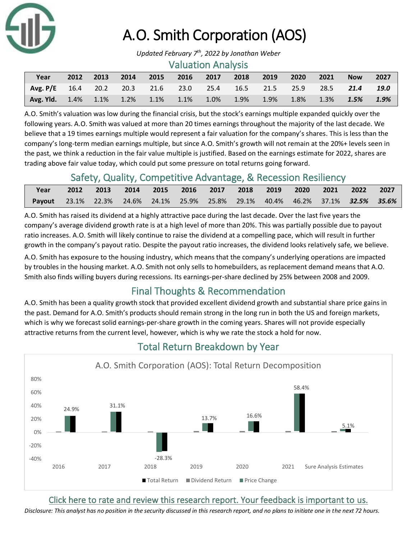

# A.O. Smith Corporation (AOS)

*Updated February 7 th, 2022 by Jonathan Weber*

#### Valuation Analysis

| Year                                                                         | 2012 2013 | 2014 | 2015 2016 2017 2018 2019 |  | $\sim$ 2020 $\sim$ | $\sim$ 2021 | <b>Now</b> | 2027 |
|------------------------------------------------------------------------------|-----------|------|--------------------------|--|--------------------|-------------|------------|------|
| Avg. P/E 16.4 20.2 20.3 21.6 23.0 25.4 16.5 21.5 25.9 28.5 21.4 19.0         |           |      |                          |  |                    |             |            |      |
| <b>Avg. Yld.</b> 1.4% 1.1% 1.2% 1.1% 1.1% 1.0% 1.9% 1.9% 1.8% 1.3% 1.5% 1.9% |           |      |                          |  |                    |             |            |      |

A.O. Smith's valuation was low during the financial crisis, but the stock's earnings multiple expanded quickly over the following years. A.O. Smith was valued at more than 20 times earnings throughout the majority of the last decade. We believe that a 19 times earnings multiple would represent a fair valuation for the company's shares. This is less than the company's long-term median earnings multiple, but since A.O. Smith's growth will not remain at the 20%+ levels seen in the past, we think a reduction in the fair value multiple is justified. Based on the earnings estimate for 2022, shares are trading above fair value today, which could put some pressure on total returns going forward.

### Safety, Quality, Competitive Advantage, & Recession Resiliency

| Year                                                                                         | 2012 2013 2014 2015 2016 2017 2018 2019 2020 2021 2022 2027 |  |  |  |  |  |
|----------------------------------------------------------------------------------------------|-------------------------------------------------------------|--|--|--|--|--|
| <b>Payout</b> 23.1% 22.3% 24.6% 24.1% 25.9% 25.8% 29.1% 40.4% 46.2% 37.1% <b>32.5% 35.6%</b> |                                                             |  |  |  |  |  |

A.O. Smith has raised its dividend at a highly attractive pace during the last decade. Over the last five years the company's average dividend growth rate is at a high level of more than 20%. This was partially possible due to payout ratio increases. A.O. Smith will likely continue to raise the dividend at a compelling pace, which will result in further growth in the company's payout ratio. Despite the payout ratio increases, the dividend looks relatively safe, we believe.

A.O. Smith has exposure to the housing industry, which means that the company's underlying operations are impacted by troubles in the housing market. A.O. Smith not only sells to homebuilders, as replacement demand means that A.O. Smith also finds willing buyers during recessions. Its earnings-per-share declined by 25% between 2008 and 2009.

## Final Thoughts & Recommendation

A.O. Smith has been a quality growth stock that provided excellent dividend growth and substantial share price gains in the past. Demand for A.O. Smith's products should remain strong in the long run in both the US and foreign markets, which is why we forecast solid earnings-per-share growth in the coming years. Shares will not provide especially attractive returns from the current level, however, which is why we rate the stock a hold for now.



## Total Return Breakdown by Year

[Click here to rate and review this research report. Your feedback is important to us.](https://suredividend.typeform.com/to/ScKeFu)

*Disclosure: This analyst has no position in the security discussed in this research report, and no plans to initiate one in the next 72 hours.*